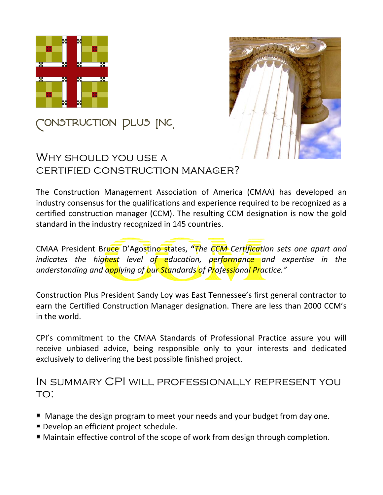



# Construction Plus Inc.

#### Why should you use a certified construction manager?

The Construction Management Association of America (CMAA) has developed an industry consensus for the qualifications and experience required to be recognized as a certified construction manager (CCM). The resulting CCM designation is now the gold standard in the industry recognized in 145 countries.

CMAA President Bruce D'Agostino states, **"***The CCM Certification sets one apart and indicates the highest level of education, performance and expertise in the understanding and applying of our Standards of Professional Practice."*

Construction Plus President Sandy Loy was East Tennessee's first general contractor to earn the Certified Construction Manager designation. There are less than 2000 CCM's in the world.

CPI's commitment to the CMAA Standards of Professional Practice assure you will receive unbiased advice, being responsible only to your interests and dedicated exclusively to delivering the best possible finished project.

#### In summary CPI will professionally represent you to:

- Manage the design program to meet your needs and your budget from day one.
- Develop an efficient project schedule.
- Maintain effective control of the scope of work from design through completion.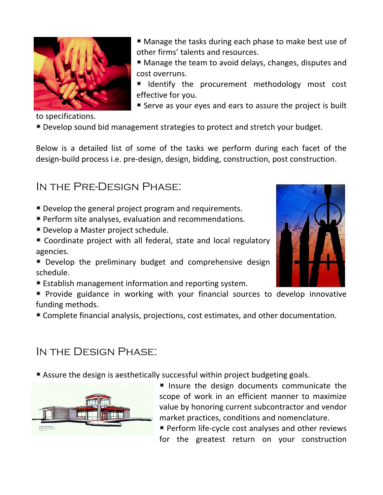

■ Manage the tasks during each phase to make best use of other firms' talents and resources.

■ Manage the team to avoid delays, changes, disputes and cost overruns.

I Identify the procurement methodology most cost effective for you.

Serve as your eyes and ears to assure the project is built

to specifications.

Develop sound bid management strategies to protect and stretch your budget.

Below is a detailed list of some of the tasks we perform during each facet of the design-build process i.e. pre-design, design, bidding, construction, post construction.

In the Pre-Design Phase:

- Develop the general project program and requirements.
- Perform site analyses, evaluation and recommendations.
- Develop a Master project schedule.
- Coordinate project with all federal, state and local regulatory agencies.
- Develop the preliminary budget and comprehensive design schedule.
- Establish management information and reporting system.
- $\blacksquare$  Provide guidance in working with your financial sources to develop innovative funding methods.
- Complete financial analysis, projections, cost estimates, and other documentation.

#### In the Design Phase:

Assure the design is aesthetically successful within project budgeting goals.



Insure the design documents communicate the scope of work in an efficient manner to maximize value by honoring current subcontractor and vendor market practices, conditions and nomenclature.

**Perform life-cycle cost analyses and other reviews** for the greatest return on your construction

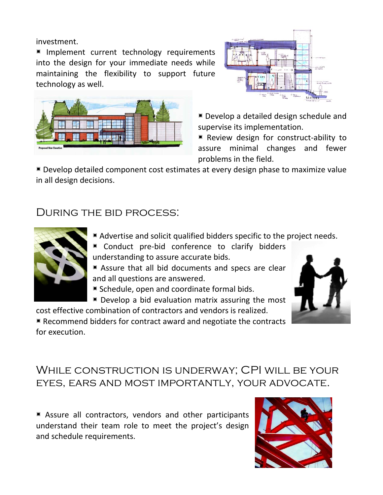investment.

I Implement current technology requirements into the design for your immediate needs while maintaining the flexibility to support future technology as well.





Develop a detailed design schedule and supervise its implementation.

Review design for construct-ability to assure minimal changes and fewer problems in the field.

Develop detailed component cost estimates at every design phase to maximize value in all design decisions.

#### During the bid process:



- Advertise and solicit qualified bidders specific to the project needs.
- Conduct pre-bid conference to clarify bidders understanding to assure accurate bids.
- Assure that all bid documents and specs are clear and all questions are answered.
- Schedule, open and coordinate formal bids.
- $\blacksquare$  Develop a bid evaluation matrix assuring the most

cost effective combination of contractors and vendors is realized.  $\blacksquare$  Recommend bidders for contract award and negotiate the contracts for execution.



### While construction is underway; CPI will be your eyes, ears and most importantly, your advocate.

Assure all contractors, vendors and other participants understand their team role to meet the project's design and schedule requirements.

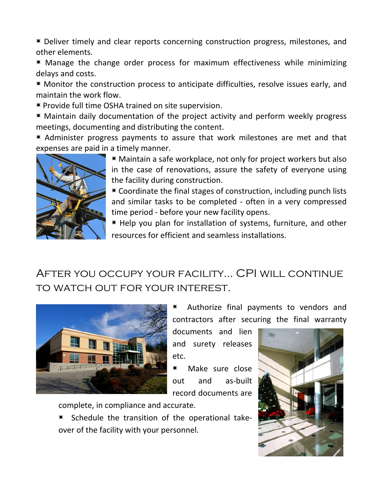Deliver timely and clear reports concerning construction progress, milestones, and other elements.

■ Manage the change order process for maximum effectiveness while minimizing delays and costs.

**Monitor the construction process to anticipate difficulties, resolve issues early, and** maintain the work flow.

**Provide full time OSHA trained on site supervision.** 

■ Maintain daily documentation of the project activity and perform weekly progress meetings, documenting and distributing the content.

■ Administer progress payments to assure that work milestones are met and that expenses are paid in a timely manner.



■ Maintain a safe workplace, not only for project workers but also in the case of renovations, assure the safety of everyone using the facility during construction.

Coordinate the final stages of construction, including punch lists and similar tasks to be completed - often in a very compressed time period - before your new facility opens.

Help you plan for installation of systems, furniture, and other resources for efficient and seamless installations.

# After you occupy your facility… CPI will continue to watch out for your interest.



 Authorize final payments to vendors and contractors after securing the final warranty

documents and lien and surety releases etc.

■ Make sure close out and as-built record documents are

complete, in compliance and accurate.

 Schedule the transition of the operational takeover of the facility with your personnel.